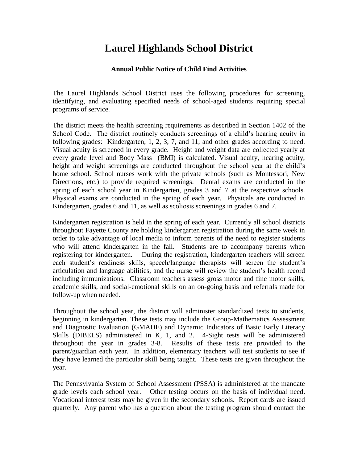## **Laurel Highlands School District**

## **Annual Public Notice of Child Find Activities**

The Laurel Highlands School District uses the following procedures for screening, identifying, and evaluating specified needs of school-aged students requiring special programs of service.

The district meets the health screening requirements as described in Section 1402 of the School Code. The district routinely conducts screenings of a child's hearing acuity in following grades: Kindergarten, 1, 2, 3, 7, and 11, and other grades according to need. Visual acuity is screened in every grade. Height and weight data are collected yearly at every grade level and Body Mass (BMI) is calculated. Visual acuity, hearing acuity, height and weight screenings are conducted throughout the school year at the child's home school. School nurses work with the private schools (such as Montessori, New Directions, etc.) to provide required screenings. Dental exams are conducted in the spring of each school year in Kindergarten, grades 3 and 7 at the respective schools. Physical exams are conducted in the spring of each year. Physicals are conducted in Kindergarten, grades 6 and 11, as well as scoliosis screenings in grades 6 and 7.

Kindergarten registration is held in the spring of each year. Currently all school districts throughout Fayette County are holding kindergarten registration during the same week in order to take advantage of local media to inform parents of the need to register students who will attend kindergarten in the fall. Students are to accompany parents when registering for kindergarten. During the registration, kindergarten teachers will screen each student's readiness skills, speech/language therapists will screen the student's articulation and language abilities, and the nurse will review the student's health record including immunizations. Classroom teachers assess gross motor and fine motor skills, academic skills, and social-emotional skills on an on-going basis and referrals made for follow-up when needed.

Throughout the school year, the district will administer standardized tests to students, beginning in kindergarten. These tests may include the Group-Mathematics Assessment and Diagnostic Evaluation (GMADE) and Dynamic Indicators of Basic Early Literacy Skills (DIBELS) administered in K, 1, and 2. 4-Sight tests will be administered throughout the year in grades 3-8. Results of these tests are provided to the parent/guardian each year. In addition, elementary teachers will test students to see if they have learned the particular skill being taught. These tests are given throughout the year.

The Pennsylvania System of School Assessment (PSSA) is administered at the mandate grade levels each school year. Other testing occurs on the basis of individual need. Vocational interest tests may be given in the secondary schools. Report cards are issued quarterly. Any parent who has a question about the testing program should contact the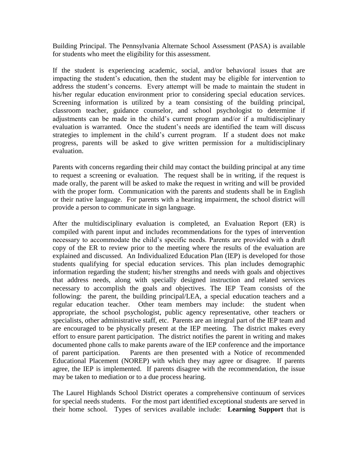Building Principal. The Pennsylvania Alternate School Assessment (PASA) is available for students who meet the eligibility for this assessment.

If the student is experiencing academic, social, and/or behavioral issues that are impacting the student's education, then the student may be eligible for intervention to address the student's concerns. Every attempt will be made to maintain the student in his/her regular education environment prior to considering special education services. Screening information is utilized by a team consisting of the building principal, classroom teacher, guidance counselor, and school psychologist to determine if adjustments can be made in the child's current program and/or if a multidisciplinary evaluation is warranted. Once the student's needs are identified the team will discuss strategies to implement in the child's current program. If a student does not make progress, parents will be asked to give written permission for a multidisciplinary evaluation.

Parents with concerns regarding their child may contact the building principal at any time to request a screening or evaluation. The request shall be in writing, if the request is made orally, the parent will be asked to make the request in writing and will be provided with the proper form. Communication with the parents and students shall be in English or their native language. For parents with a hearing impairment, the school district will provide a person to communicate in sign language.

After the multidisciplinary evaluation is completed, an Evaluation Report (ER) is compiled with parent input and includes recommendations for the types of intervention necessary to accommodate the child's specific needs. Parents are provided with a draft copy of the ER to review prior to the meeting where the results of the evaluation are explained and discussed. An Individualized Education Plan (IEP) is developed for those students qualifying for special education services. This plan includes demographic information regarding the student; his/her strengths and needs with goals and objectives that address needs, along with specially designed instruction and related services necessary to accomplish the goals and objectives. The IEP Team consists of the following: the parent, the building principal/LEA, a special education teachers and a regular education teacher. Other team members may include: the student when appropriate, the school psychologist, public agency representative, other teachers or specialists, other administrative staff, etc. Parents are an integral part of the IEP team and are encouraged to be physically present at the IEP meeting. The district makes every effort to ensure parent participation. The district notifies the parent in writing and makes documented phone calls to make parents aware of the IEP conference and the importance of parent participation. Parents are then presented with a Notice of recommended Educational Placement (NOREP) with which they may agree or disagree. If parents agree, the IEP is implemented. If parents disagree with the recommendation, the issue may be taken to mediation or to a due process hearing.

The Laurel Highlands School District operates a comprehensive continuum of services for special needs students. For the most part identified exceptional students are served in their home school. Types of services available include: **Learning Support** that is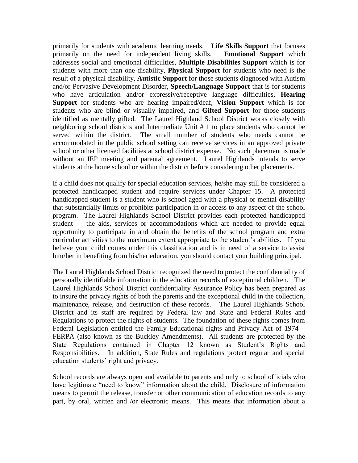primarily for students with academic learning needs. **Life Skills Support** that focuses primarily on the need for independent living skills. **Emotional Support** which addresses social and emotional difficulties, **Multiple Disabilities Support** which is for students with more than one disability, **Physical Support** for students who need is the result of a physical disability, **Autistic Support** for those students diagnosed with Autism and/or Pervasive Development Disorder, **Speech/Language Support** that is for students who have articulation and/or expressive/receptive language difficulties, **Hearing Support** for students who are hearing impaired/deaf, **Vision Support** which is for students who are blind or visually impaired, and **Gifted Support** for those students identified as mentally gifted. The Laurel Highland School District works closely with neighboring school districts and Intermediate Unit # 1 to place students who cannot be served within the district. The small number of students who needs cannot be accommodated in the public school setting can receive services in an approved private school or other licensed facilities at school district expense. No such placement is made without an IEP meeting and parental agreement. Laurel Highlands intends to serve students at the home school or within the district before considering other placements.

If a child does not qualify for special education services, he/she may still be considered a protected handicapped student and require services under Chapter 15. A protected handicapped student is a student who is school aged with a physical or mental disability that substantially limits or prohibits participation in or access to any aspect of the school program. The Laurel Highlands School District provides each protected handicapped student the aids, services or accommodations which are needed to provide equal opportunity to participate in and obtain the benefits of the school program and extra curricular activities to the maximum extent appropriate to the student's abilities. If you believe your child comes under this classification and is in need of a service to assist him/her in benefiting from his/her education, you should contact your building principal.

The Laurel Highlands School District recognized the need to protect the confidentiality of personally identifiable information in the education records of exceptional children. The Laurel Highlands School District confidentiality Assurance Policy has been prepared as to insure the privacy rights of both the parents and the exceptional child in the collection, maintenance, release, and destruction of these records. The Laurel Highlands School District and its staff are required by Federal law and State and Federal Rules and Regulations to protect the rights of students. The foundation of these rights comes from Federal Legislation entitled the Family Educational rights and Privacy Act of 1974 – FERPA (also known as the Buckley Amendments). All students are protected by the State Regulations contained in Chapter 12 known as Student's Rights and Responsibilities. In addition, State Rules and regulations protect regular and special education students' right and privacy.

School records are always open and available to parents and only to school officials who have legitimate "need to know" information about the child. Disclosure of information means to permit the release, transfer or other communication of education records to any part, by oral, written and /or electronic means. This means that information about a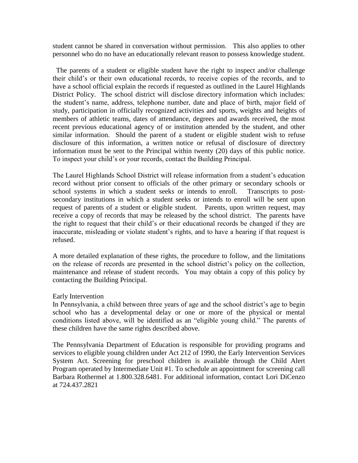student cannot be shared in conversation without permission. This also applies to other personnel who do no have an educationally relevant reason to possess knowledge student.

 The parents of a student or eligible student have the right to inspect and/or challenge their child's or their own educational records, to receive copies of the records, and to have a school official explain the records if requested as outlined in the Laurel Highlands District Policy. The school district will disclose directory information which includes: the student's name, address, telephone number, date and place of birth, major field of study, participation in officially recognized activities and sports, weights and heights of members of athletic teams, dates of attendance, degrees and awards received, the most recent previous educational agency of or institution attended by the student, and other similar information. Should the parent of a student or eligible student wish to refuse disclosure of this information, a written notice or refusal of disclosure of directory information must be sent to the Principal within twenty (20) days of this public notice. To inspect your child's or your records, contact the Building Principal.

The Laurel Highlands School District will release information from a student's education record without prior consent to officials of the other primary or secondary schools or school systems in which a student seeks or intends to enroll. Transcripts to postsecondary institutions in which a student seeks or intends to enroll will be sent upon request of parents of a student or eligible student. Parents, upon written request, may receive a copy of records that may be released by the school district. The parents have the right to request that their child's or their educational records be changed if they are inaccurate, misleading or violate student's rights, and to have a hearing if that request is refused.

A more detailed explanation of these rights, the procedure to follow, and the limitations on the release of records are presented in the school district's policy on the collection, maintenance and release of student records. You may obtain a copy of this policy by contacting the Building Principal.

## Early Intervention

In Pennsylvania, a child between three years of age and the school district's age to begin school who has a developmental delay or one or more of the physical or mental conditions listed above, will be identified as an "eligible young child." The parents of these children have the same rights described above.

The Pennsylvania Department of Education is responsible for providing programs and services to eligible young children under Act 212 of 1990, the Early Intervention Services System Act. Screening for preschool children is available through the Child Alert Program operated by Intermediate Unit #1. To schedule an appointment for screening call Barbara Rothermel at 1.800.328.6481. For additional information, contact Lori DiCenzo at 724.437.2821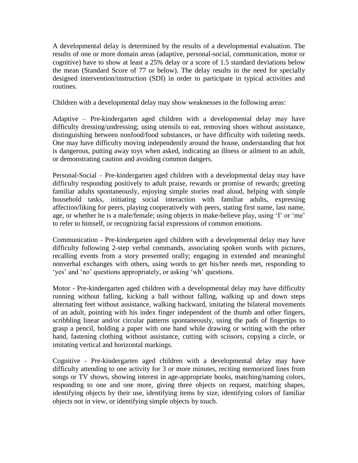A developmental delay is determined by the results of a developmental evaluation. The results of one or more domain areas (adaptive, personal-social, communication, motor or cognitive) have to show at least a 25% delay or a score of 1.5 standard deviations below the mean (Standard Score of 77 or below). The delay results in the need for specially designed intervention/instruction (SDI) in order to participate in typical activities and routines.

Children with a developmental delay may show weaknesses in the following areas:

Adaptive – Pre-kindergarten aged children with a developmental delay may have difficulty dressing/undressing; using utensils to eat, removing shoes without assistance, distinguishing between nonfood/food substances, or have difficulty with toileting needs. One may have difficulty moving independently around the house, understanding that hot is dangerous, putting away toys when asked, indicating an illness or ailment to an adult, or demonstrating caution and avoiding common dangers.

Personal-Social – Pre-kindergarten aged children with a developmental delay may have difficulty responding positively to adult praise, rewards or promise of rewards; greeting familiar adults spontaneously, enjoying simple stories read aloud, helping with simple household tasks, initiating social interaction with familiar adults, expressing affection/liking for peers, playing cooperatively with peers, stating first name, last name, age, or whether he is a male/female; using objects in make-believe play, using 'I' or 'me' to refer to himself, or recognizing facial expressions of common emotions.

Communication - Pre-kindergarten aged children with a developmental delay may have difficulty following 2-step verbal commands, associating spoken words with pictures, recalling events from a story presented orally; engaging in extended and meaningful nonverbal exchanges with others, using words to get his/her needs met, responding to 'yes' and 'no' questions appropriately, or asking 'wh' questions.

Motor - Pre-kindergarten aged children with a developmental delay may have difficulty running without falling, kicking a ball without falling, walking up and down steps alternating feet without assistance, walking backward, imitating the bilateral movements of an adult, pointing with his index finger independent of the thumb and other fingers, scribbling linear and/or circular patterns spontaneously, using the pads of fingertips to grasp a pencil, holding a paper with one hand while drawing or writing with the other hand, fastening clothing without assistance, cutting with scissors, copying a circle, or imitating vertical and horizontal markings.

Cognitive - Pre-kindergarten aged children with a developmental delay may have difficulty attending to one activity for 3 or more minutes, reciting memorized lines from songs or TV shows, showing interest in age-appropriate books, matching/naming colors, responding to one and one more, giving three objects on request, matching shapes, identifying objects by their use, identifying items by size, identifying colors of familiar objects not in view, or identifying simple objects by touch.